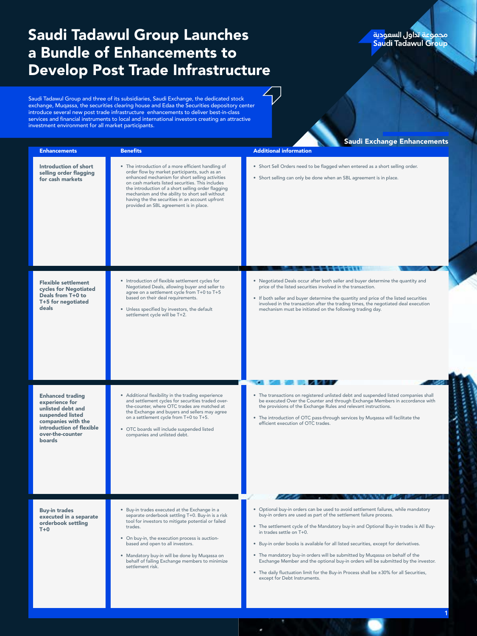## Saudi Tadawul Group Launches a Bundle of Enhancements to Develop Post Trade Infrastructure

## مجموعة تداول السعو<mark>دية</mark><br><mark>Saudi Tadawul Gr</mark>oup

1

Saudi Tadawul Group and three of its subsidiaries, Saudi Exchange, the dedicated stock exchange, Muqassa, the securities clearing house and Edaa the Securities depository center introduce several new post trade infrastructure enhancements to deliver best-in-class services and financial instruments to local and international investors creating an attractive investment environment for all market participants.

| <b>Enhancements</b>                                                                                                                                                | <b>Benefits</b>                                                                                                                                                                                                                                                                                                                                                                                                  | <b>Saudi Exchange Enhancements</b><br><b>Additional information</b>                                                                                                                                                                                                                                                                                                                                                                                                                                                                                                                                                                                                |
|--------------------------------------------------------------------------------------------------------------------------------------------------------------------|------------------------------------------------------------------------------------------------------------------------------------------------------------------------------------------------------------------------------------------------------------------------------------------------------------------------------------------------------------------------------------------------------------------|--------------------------------------------------------------------------------------------------------------------------------------------------------------------------------------------------------------------------------------------------------------------------------------------------------------------------------------------------------------------------------------------------------------------------------------------------------------------------------------------------------------------------------------------------------------------------------------------------------------------------------------------------------------------|
| Introduction of short<br>selling order flagging<br>for cash markets                                                                                                | • The introduction of a more efficient handling of<br>order flow by market participants, such as an<br>enhanced mechanism for short selling activities<br>on cash markets listed securities. This includes<br>the introduction of a short selling order flagging<br>mechanism and the ability to short sell without<br>having the the securities in an account upfront<br>provided an SBL agreement is in place. | • Short Sell Orders need to be flagged when entered as a short selling order.<br>• Short selling can only be done when an SBL agreement is in place.                                                                                                                                                                                                                                                                                                                                                                                                                                                                                                               |
| <b>Flexible settlement</b><br>cycles for Negotiated<br>Deals from T+0 to<br>T+5 for negotiated<br>deals                                                            | • Introduction of flexible settlement cycles for<br>Negotiated Deals, allowing buyer and seller to<br>agree on a settlement cycle from T+0 to T+5<br>based on their deal requirements.<br>Unless specified by investors, the default<br>settlement cycle will be T+2.                                                                                                                                            | • Negotiated Deals occur after both seller and buyer determine the quantity and<br>price of the listed securities involved in the transaction.<br>• If both seller and buyer determine the quantity and price of the listed securities<br>involved in the transaction after the trading times, the negotiated deal execution<br>mechanism must be initiated on the following trading day.                                                                                                                                                                                                                                                                          |
| <b>Enhanced trading</b><br>experience for<br>unlisted debt and<br>suspended listed<br>companies with the<br>introduction of flexible<br>over-the-counter<br>boards | • Additional flexibility in the trading experience<br>and settlement cycles for securities traded over-<br>the-counter, where OTC trades are matched at<br>the Exchange and buyers and sellers may agree<br>on a settlement cycle from T+0 to T+5.<br>· OTC boards will include suspended listed<br>companies and unlisted debt.                                                                                 | • The transactions on registered unlisted debt and suspended listed companies shall<br>be executed Over the Counter and through Exchange Members in accordance with<br>the provisions of the Exchange Rules and relevant instructions.<br>• The introduction of OTC pass-through services by Mugassa will facilitate the<br>efficient execution of OTC trades.                                                                                                                                                                                                                                                                                                     |
| <b>Buy-in trades</b><br>executed in a separate<br>orderbook settling<br>$T+0$                                                                                      | • Buy-in trades executed at the Exchange in a<br>separate orderbook settling T+0. Buy-in is a risk<br>tool for investors to mitigate potential or failed<br>trades.<br>• On buy-in, the execution process is auction-<br>based and open to all investors.<br>• Mandatory buy-in will be done by Muqassa on<br>behalf of failing Exchange members to minimize<br>settlement risk.                                 | . Optional buy-in orders can be used to avoid settlement failures, while mandatory<br>buy-in orders are used as part of the settlement failure process.<br>• The settlement cycle of the Mandatory buy-in and Optional Buy-in trades is All Buy-<br>in trades settle on T+0.<br>• Buy-in order books is available for all listed securities, except for derivatives.<br>• The mandatory buy-in orders will be submitted by Muqassa on behalf of the<br>Exchange Member and the optional buy-in orders will be submitted by the investor.<br>• The daily fluctuation limit for the Buy-in Process shall be ±30% for all Securities,<br>except for Debt Instruments. |